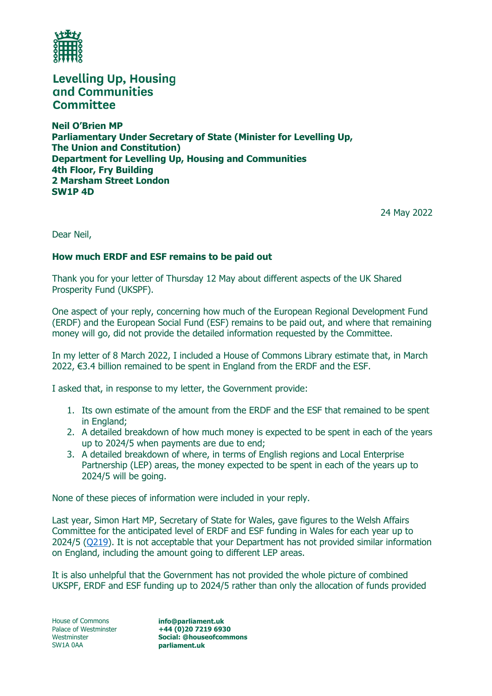

**Levelling Up, Housing** and Communities **Committee** 

**Neil O'Brien MP Parliamentary Under Secretary of State (Minister for Levelling Up, The Union and Constitution) Department for Levelling Up, Housing and Communities 4th Floor, Fry Building 2 Marsham Street London SW1P 4D**

24 May 2022

Dear Neil,

## **How much ERDF and ESF remains to be paid out**

Thank you for your letter of Thursday 12 May about different aspects of the UK Shared Prosperity Fund (UKSPF).

One aspect of your reply, concerning how much of the European Regional Development Fund (ERDF) and the European Social Fund (ESF) remains to be paid out, and where that remaining money will go, did not provide the detailed information requested by the Committee.

In my letter of 8 March 2022, I included a House of Commons Library estimate that, in March 2022, €3.4 billion remained to be spent in England from the ERDF and the ESF.

I asked that, in response to my letter, the Government provide:

- 1. Its own estimate of the amount from the ERDF and the ESF that remained to be spent in England;
- 2. A detailed breakdown of how much money is expected to be spent in each of the years up to 2024/5 when payments are due to end;
- 3. A detailed breakdown of where, in terms of English regions and Local Enterprise Partnership (LEP) areas, the money expected to be spent in each of the years up to 2024/5 will be going.

None of these pieces of information were included in your reply.

Last year, Simon Hart MP, Secretary of State for Wales, gave figures to the Welsh Affairs Committee for the anticipated level of ERDF and ESF funding in Wales for each year up to 2024/5 [\(Q219\)](https://committees.parliament.uk/oralevidence/1519/html/). It is not acceptable that your Department has not provided similar information on England, including the amount going to different LEP areas.

It is also unhelpful that the Government has not provided the whole picture of combined UKSPF, ERDF and ESF funding up to 2024/5 rather than only the allocation of funds provided

House of Commons Palace of Westminster Westminster SW1A 0AA

**info@parliament.uk +44 (0)20 7219 6930 Social: @houseofcommons parliament.uk**